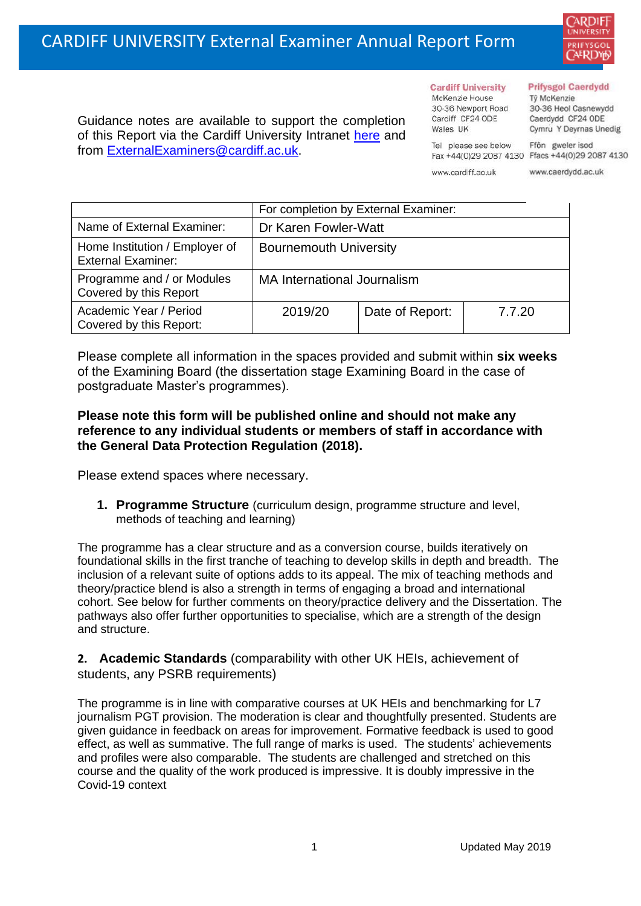

Guidance notes are available to support the completion of this Report via the Cardiff University Intranet [here](https://intranet.cardiff.ac.uk/staff/teaching-and-supporting-students/exams-and-assessment/exam-boards-and-external-examiners/for-current-external-examiners/external-examiners-reports) and from [ExternalExaminers@cardiff.ac.uk.](mailto:ExternalExaminers@cardiff.ac.uk)

**Cardiff University** McKenzie House 30-36 Newport Road Cardiff CF24 ODE

Wales IIK

#### **Prifysgol Caerdydd**

Từ McKenzie 30-36 Heol Casnewydd Caerdydd CF24 ODE Cymru Y Deyrnas Unedig

Ffôn gweler isod Fax +44(0)29 2087 4130 Ffacs +44(0)29 2087 4130

www.cardiff.ac.uk

Tel please see below

www.caerdydd.ac.uk

|                                                             | For completion by External Examiner: |                 |        |  |
|-------------------------------------------------------------|--------------------------------------|-----------------|--------|--|
| Name of External Examiner:                                  | Dr Karen Fowler-Watt                 |                 |        |  |
| Home Institution / Employer of<br><b>External Examiner:</b> | <b>Bournemouth University</b>        |                 |        |  |
| Programme and / or Modules<br>Covered by this Report        | <b>MA International Journalism</b>   |                 |        |  |
| Academic Year / Period<br>Covered by this Report:           | 2019/20                              | Date of Report: | 7.7.20 |  |

Please complete all information in the spaces provided and submit within **six weeks** of the Examining Board (the dissertation stage Examining Board in the case of postgraduate Master's programmes).

## **Please note this form will be published online and should not make any reference to any individual students or members of staff in accordance with the General Data Protection Regulation (2018).**

Please extend spaces where necessary.

**1. Programme Structure** (curriculum design, programme structure and level, methods of teaching and learning)

The programme has a clear structure and as a conversion course, builds iteratively on foundational skills in the first tranche of teaching to develop skills in depth and breadth. The inclusion of a relevant suite of options adds to its appeal. The mix of teaching methods and theory/practice blend is also a strength in terms of engaging a broad and international cohort. See below for further comments on theory/practice delivery and the Dissertation. The pathways also offer further opportunities to specialise, which are a strength of the design and structure.

**2. Academic Standards** (comparability with other UK HEIs, achievement of students, any PSRB requirements)

The programme is in line with comparative courses at UK HEIs and benchmarking for L7 journalism PGT provision. The moderation is clear and thoughtfully presented. Students are given guidance in feedback on areas for improvement. Formative feedback is used to good effect, as well as summative. The full range of marks is used. The students' achievements and profiles were also comparable. The students are challenged and stretched on this course and the quality of the work produced is impressive. It is doubly impressive in the Covid-19 context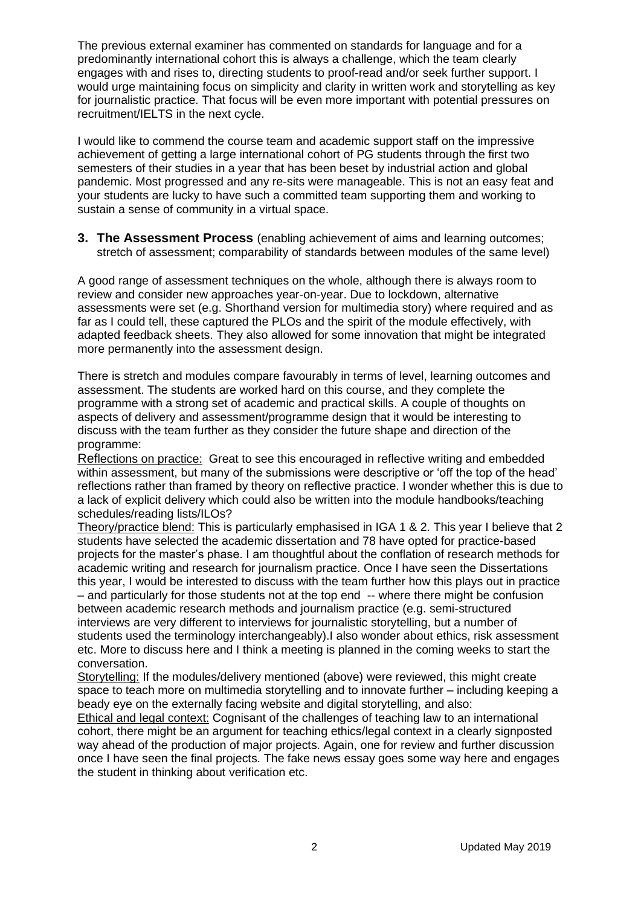The previous external examiner has commented on standards for language and for a predominantly international cohort this is always a challenge, which the team clearly engages with and rises to, directing students to proof-read and/or seek further support. I would urge maintaining focus on simplicity and clarity in written work and storytelling as key for journalistic practice. That focus will be even more important with potential pressures on recruitment/IELTS in the next cycle.

I would like to commend the course team and academic support staff on the impressive achievement of getting a large international cohort of PG students through the first two semesters of their studies in a year that has been beset by industrial action and global pandemic. Most progressed and any re-sits were manageable. This is not an easy feat and your students are lucky to have such a committed team supporting them and working to sustain a sense of community in a virtual space.

**3. The Assessment Process** (enabling achievement of aims and learning outcomes; stretch of assessment; comparability of standards between modules of the same level)

A good range of assessment techniques on the whole, although there is always room to review and consider new approaches year-on-year. Due to lockdown, alternative assessments were set (e.g. Shorthand version for multimedia story) where required and as far as I could tell, these captured the PLOs and the spirit of the module effectively, with adapted feedback sheets. They also allowed for some innovation that might be integrated more permanently into the assessment design.

There is stretch and modules compare favourably in terms of level, learning outcomes and assessment. The students are worked hard on this course, and they complete the programme with a strong set of academic and practical skills. A couple of thoughts on aspects of delivery and assessment/programme design that it would be interesting to discuss with the team further as they consider the future shape and direction of the programme:

Reflections on practice: Great to see this encouraged in reflective writing and embedded within assessment, but many of the submissions were descriptive or 'off the top of the head' reflections rather than framed by theory on reflective practice. I wonder whether this is due to a lack of explicit delivery which could also be written into the module handbooks/teaching schedules/reading lists/ILOs?

Theory/practice blend: This is particularly emphasised in IGA 1 & 2. This year I believe that 2 students have selected the academic dissertation and 78 have opted for practice-based projects for the master's phase. I am thoughtful about the conflation of research methods for academic writing and research for journalism practice. Once I have seen the Dissertations this year, I would be interested to discuss with the team further how this plays out in practice – and particularly for those students not at the top end -- where there might be confusion between academic research methods and journalism practice (e.g. semi-structured interviews are very different to interviews for journalistic storytelling, but a number of students used the terminology interchangeably).I also wonder about ethics, risk assessment etc. More to discuss here and I think a meeting is planned in the coming weeks to start the conversation.

Storytelling: If the modules/delivery mentioned (above) were reviewed, this might create space to teach more on multimedia storytelling and to innovate further – including keeping a beady eye on the externally facing website and digital storytelling, and also:

Ethical and legal context: Cognisant of the challenges of teaching law to an international cohort, there might be an argument for teaching ethics/legal context in a clearly signposted way ahead of the production of major projects. Again, one for review and further discussion once I have seen the final projects. The fake news essay goes some way here and engages the student in thinking about verification etc.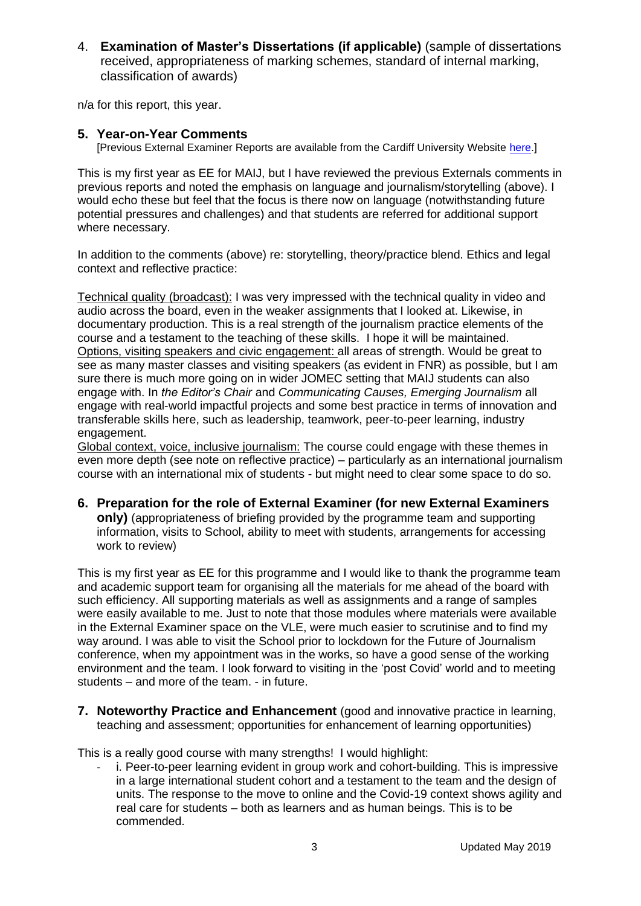4. **Examination of Master's Dissertations (if applicable)** (sample of dissertations received, appropriateness of marking schemes, standard of internal marking, classification of awards)

n/a for this report, this year.

## **5. Year-on-Year Comments**

[Previous External Examiner Reports are available from the Cardiff University Website [here.](https://www.cardiff.ac.uk/public-information/quality-and-standards/external-examiner-reports)]

This is my first year as EE for MAIJ, but I have reviewed the previous Externals comments in previous reports and noted the emphasis on language and journalism/storytelling (above). I would echo these but feel that the focus is there now on language (notwithstanding future potential pressures and challenges) and that students are referred for additional support where necessary.

In addition to the comments (above) re: storytelling, theory/practice blend. Ethics and legal context and reflective practice:

Technical quality (broadcast): I was very impressed with the technical quality in video and audio across the board, even in the weaker assignments that I looked at. Likewise, in documentary production. This is a real strength of the journalism practice elements of the course and a testament to the teaching of these skills. I hope it will be maintained. Options, visiting speakers and civic engagement: all areas of strength. Would be great to see as many master classes and visiting speakers (as evident in FNR) as possible, but I am sure there is much more going on in wider JOMEC setting that MAIJ students can also engage with. In *the Editor's Chair* and *Communicating Causes, Emerging Journalism* all engage with real-world impactful projects and some best practice in terms of innovation and transferable skills here, such as leadership, teamwork, peer-to-peer learning, industry engagement.

Global context, voice, inclusive journalism: The course could engage with these themes in even more depth (see note on reflective practice) – particularly as an international journalism course with an international mix of students - but might need to clear some space to do so.

**6. Preparation for the role of External Examiner (for new External Examiners only)** (appropriateness of briefing provided by the programme team and supporting information, visits to School, ability to meet with students, arrangements for accessing work to review)

This is my first year as EE for this programme and I would like to thank the programme team and academic support team for organising all the materials for me ahead of the board with such efficiency. All supporting materials as well as assignments and a range of samples were easily available to me. Just to note that those modules where materials were available in the External Examiner space on the VLE, were much easier to scrutinise and to find my way around. I was able to visit the School prior to lockdown for the Future of Journalism conference, when my appointment was in the works, so have a good sense of the working environment and the team. I look forward to visiting in the 'post Covid' world and to meeting students – and more of the team. - in future.

**7. Noteworthy Practice and Enhancement** (good and innovative practice in learning, teaching and assessment; opportunities for enhancement of learning opportunities)

This is a really good course with many strengths! I would highlight:

i. Peer-to-peer learning evident in group work and cohort-building. This is impressive in a large international student cohort and a testament to the team and the design of units. The response to the move to online and the Covid-19 context shows agility and real care for students – both as learners and as human beings. This is to be commended.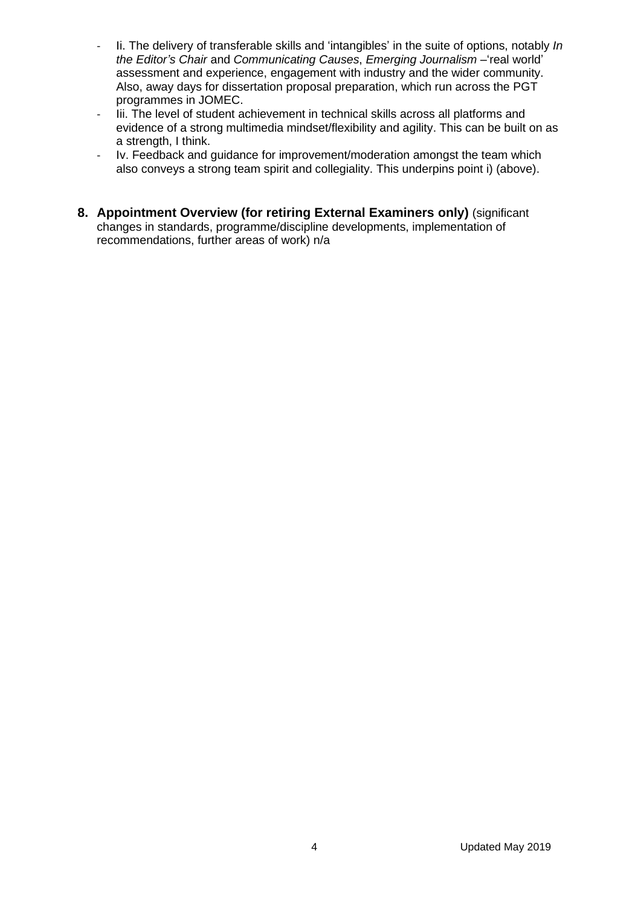- Ii. The delivery of transferable skills and 'intangibles' in the suite of options, notably *In the Editor's Chair* and *Communicating Causes*, *Emerging Journalism –*'real world' assessment and experience, engagement with industry and the wider community. Also, away days for dissertation proposal preparation, which run across the PGT programmes in JOMEC.
- Iii. The level of student achievement in technical skills across all platforms and evidence of a strong multimedia mindset/flexibility and agility. This can be built on as a strength, I think.
- Iv. Feedback and guidance for improvement/moderation amongst the team which also conveys a strong team spirit and collegiality. This underpins point i) (above).
- **8. Appointment Overview (for retiring External Examiners only)** (significant changes in standards, programme/discipline developments, implementation of recommendations, further areas of work) n/a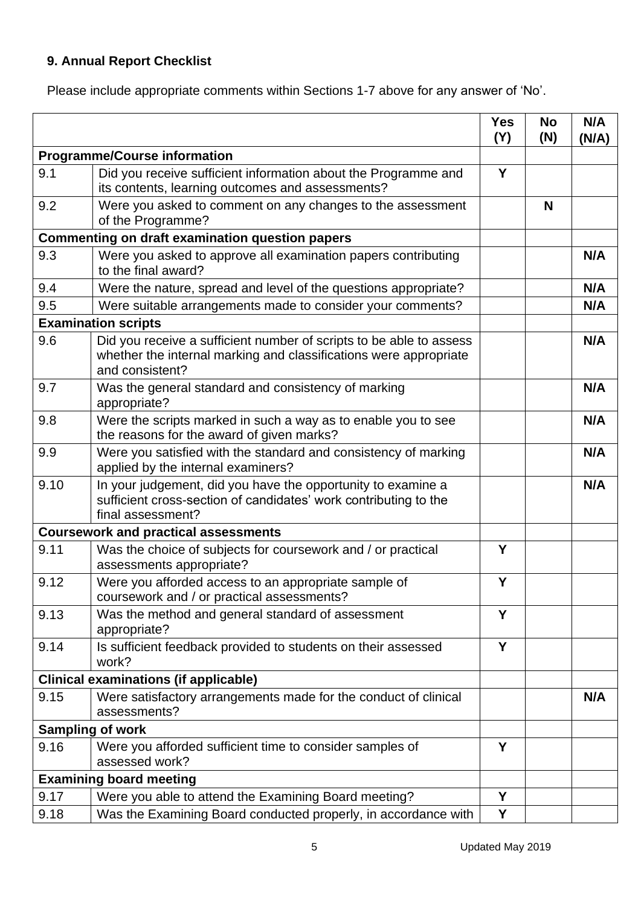# **9. Annual Report Checklist**

Please include appropriate comments within Sections 1-7 above for any answer of 'No'.

|                                                        |                                                                                                                                                             | <b>Yes</b><br>(Y) | <b>No</b><br>(N) | N/A<br>(N/A) |
|--------------------------------------------------------|-------------------------------------------------------------------------------------------------------------------------------------------------------------|-------------------|------------------|--------------|
| <b>Programme/Course information</b>                    |                                                                                                                                                             |                   |                  |              |
| 9.1                                                    | Did you receive sufficient information about the Programme and<br>its contents, learning outcomes and assessments?                                          | Y                 |                  |              |
| 9.2                                                    | Were you asked to comment on any changes to the assessment<br>of the Programme?                                                                             |                   | N                |              |
| <b>Commenting on draft examination question papers</b> |                                                                                                                                                             |                   |                  |              |
| 9.3                                                    | Were you asked to approve all examination papers contributing<br>to the final award?                                                                        |                   |                  | N/A          |
| 9.4                                                    | Were the nature, spread and level of the questions appropriate?                                                                                             |                   |                  | N/A          |
| 9.5                                                    | Were suitable arrangements made to consider your comments?                                                                                                  |                   |                  | N/A          |
|                                                        | <b>Examination scripts</b>                                                                                                                                  |                   |                  |              |
| 9.6                                                    | Did you receive a sufficient number of scripts to be able to assess<br>whether the internal marking and classifications were appropriate<br>and consistent? |                   |                  | N/A          |
| 9.7                                                    | Was the general standard and consistency of marking<br>appropriate?                                                                                         |                   |                  | N/A          |
| 9.8                                                    | Were the scripts marked in such a way as to enable you to see<br>the reasons for the award of given marks?                                                  |                   |                  | N/A          |
| 9.9                                                    | Were you satisfied with the standard and consistency of marking<br>applied by the internal examiners?                                                       |                   |                  | N/A          |
| 9.10                                                   | In your judgement, did you have the opportunity to examine a<br>sufficient cross-section of candidates' work contributing to the<br>final assessment?       |                   |                  | N/A          |
|                                                        | <b>Coursework and practical assessments</b>                                                                                                                 |                   |                  |              |
| 9.11                                                   | Was the choice of subjects for coursework and / or practical<br>assessments appropriate?                                                                    | Y                 |                  |              |
| 9.12                                                   | Were you afforded access to an appropriate sample of<br>coursework and / or practical assessments?                                                          | Y                 |                  |              |
| 9.13                                                   | Was the method and general standard of assessment<br>appropriate?                                                                                           | Y                 |                  |              |
| 9.14                                                   | Is sufficient feedback provided to students on their assessed<br>work?                                                                                      | Y                 |                  |              |
|                                                        | <b>Clinical examinations (if applicable)</b>                                                                                                                |                   |                  |              |
| 9.15                                                   | Were satisfactory arrangements made for the conduct of clinical<br>assessments?                                                                             |                   |                  | N/A          |
| <b>Sampling of work</b>                                |                                                                                                                                                             |                   |                  |              |
| 9.16                                                   | Were you afforded sufficient time to consider samples of<br>assessed work?                                                                                  | Y                 |                  |              |
|                                                        | <b>Examining board meeting</b>                                                                                                                              |                   |                  |              |
| 9.17                                                   | Were you able to attend the Examining Board meeting?                                                                                                        | Y                 |                  |              |
| 9.18                                                   | Was the Examining Board conducted properly, in accordance with                                                                                              | Y                 |                  |              |